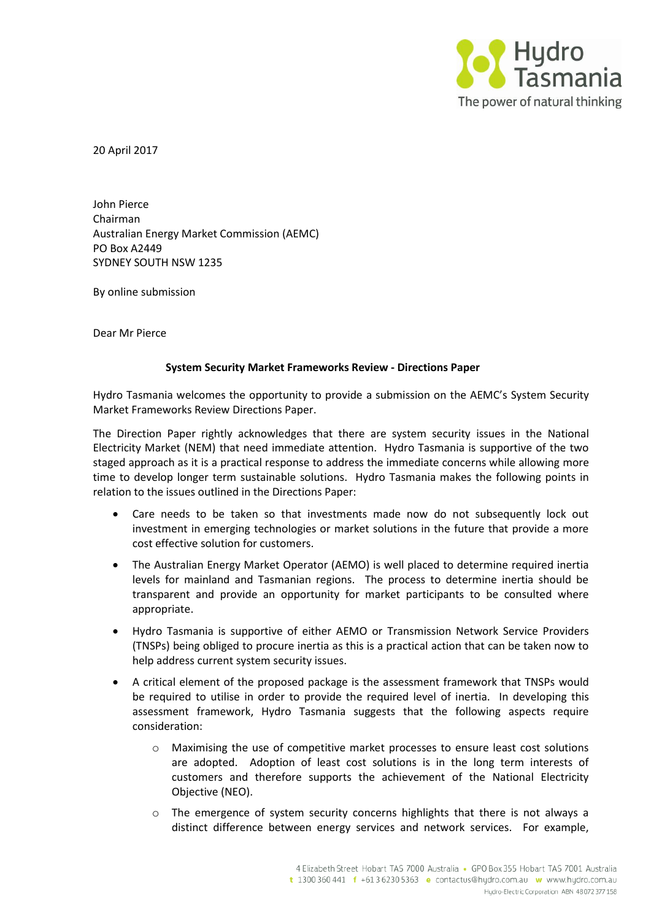

20 April 2017

John Pierce Chairman Australian Energy Market Commission (AEMC) PO Box A2449 SYDNEY SOUTH NSW 1235

By online submission

Dear Mr Pierce

## **System Security Market Frameworks Review - Directions Paper**

Hydro Tasmania welcomes the opportunity to provide a submission on the AEMC's System Security Market Frameworks Review Directions Paper.

The Direction Paper rightly acknowledges that there are system security issues in the National Electricity Market (NEM) that need immediate attention. Hydro Tasmania is supportive of the two staged approach as it is a practical response to address the immediate concerns while allowing more time to develop longer term sustainable solutions. Hydro Tasmania makes the following points in relation to the issues outlined in the Directions Paper:

- Care needs to be taken so that investments made now do not subsequently lock out investment in emerging technologies or market solutions in the future that provide a more cost effective solution for customers.
- The Australian Energy Market Operator (AEMO) is well placed to determine required inertia levels for mainland and Tasmanian regions. The process to determine inertia should be transparent and provide an opportunity for market participants to be consulted where appropriate.
- Hydro Tasmania is supportive of either AEMO or Transmission Network Service Providers (TNSPs) being obliged to procure inertia as this is a practical action that can be taken now to help address current system security issues.
- A critical element of the proposed package is the assessment framework that TNSPs would be required to utilise in order to provide the required level of inertia. In developing this assessment framework, Hydro Tasmania suggests that the following aspects require consideration:
	- $\circ$  Maximising the use of competitive market processes to ensure least cost solutions are adopted. Adoption of least cost solutions is in the long term interests of customers and therefore supports the achievement of the National Electricity Objective (NEO).
	- o The emergence of system security concerns highlights that there is not always a distinct difference between energy services and network services. For example,